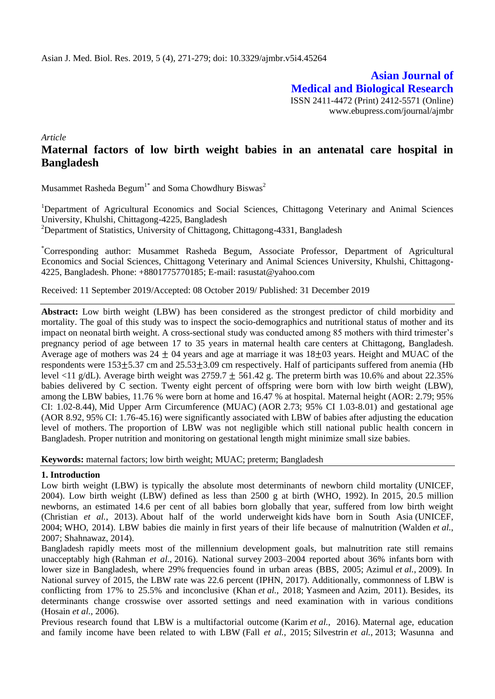**Asian Journal of Medical and Biological Research** ISSN 2411-4472 (Print) 2412-5571 (Online) www.ebupress.com/journal/ajmbr

*Article*

# **Maternal factors of low birth weight babies in an antenatal care hospital in Bangladesh**

Musammet Rasheda Begum<sup>1\*</sup> and Soma Chowdhury Biswas<sup>2</sup>

<sup>1</sup>Department of Agricultural Economics and Social Sciences, Chittagong Veterinary and Animal Sciences University, Khulshi, Chittagong-4225, Bangladesh

<sup>2</sup>Department of Statistics, University of Chittagong, Chittagong-4331, Bangladesh

\*Corresponding author: Musammet Rasheda Begum, Associate Professor, Department of Agricultural Economics and Social Sciences, Chittagong Veterinary and Animal Sciences University, Khulshi, Chittagong-4225, Bangladesh. Phone: +8801775770185; E-mail: [rasustat@yahoo.com](mailto:rasustat@yahoo.com)

Received: 11 September 2019/Accepted: 08 October 2019/ Published: 31 December 2019

**Abstract:** Low birth weight (LBW) has been considered as the strongest predictor of child morbidity and mortality. The goal of this study was to inspect the socio-demographics and nutritional status of mother and its impact on neonatal birth weight. A cross-sectional study was conducted among 85 mothers with third trimester's pregnancy period of age between 17 to 35 years in maternal health care centers at Chittagong, Bangladesh. Average age of mothers was  $24 \pm 04$  years and age at marriage it was  $18 \pm 03$  years. Height and MUAC of the respondents were  $153\pm5.37$  cm and  $25.53\pm3.09$  cm respectively. Half of participants suffered from anemia (Hb level <11 g/dL). Average birth weight was 2759.7  $\pm$  561.42 g. The preterm birth was 10.6% and about 22.35% babies delivered by C section. Twenty eight percent of offspring were born with low birth weight (LBW), among the LBW babies, 11.76 % were born at home and 16.47 % at hospital. Maternal height (AOR: 2.79; 95% CI: 1.02-8.44), Mid Upper Arm Circumference (MUAC) (AOR 2.73; 95% CI 1.03-8.01) and gestational age (AOR 8.92, 95% CI: 1.76-45.16) were significantly associated with LBW of babies after adjusting the education level of mothers. The proportion of LBW was not negligible which still national public health concern in Bangladesh. Proper nutrition and monitoring on gestational length might minimize small size babies.

**Keywords:** maternal factors; low birth weight; MUAC; preterm; Bangladesh

#### **1. Introduction**

Low birth weight (LBW) is typically the absolute most determinants of newborn child mortality (UNICEF, 2004). Low birth weight (LBW) defined as less than 2500 g at birth (WHO, 1992). In 2015, 20.5 million newborns, an estimated 14.6 per cent of all babies born globally that year, suffered from low birth weight (Christian *et al.*, 2013). About half of the world underweight kids have born in South Asia (UNICEF, 2004; WHO, 2014). LBW babies die mainly in first years of their life because of malnutrition (Walden *et al.*, 2007; Shahnawaz, 2014).

Bangladesh rapidly meets most of the millennium development goals, but malnutrition rate still remains unacceptably high (Rahman *et al.*, 2016). National survey 2003–2004 reported about 36% infants born with lower size in Bangladesh, where 29% frequencies found in urban areas (BBS, 2005; Azimul *et al.*, 2009). In National survey of 2015, the LBW rate was 22.6 percent (IPHN, 2017). Additionally, commonness of LBW is conflicting from 17% to 25.5% and inconclusive (Khan *et al.*, 2018; Yasmeen and Azim, 2011). Besides, its determinants change crosswise over assorted settings and need examination with in various conditions (Hosain *et al.*, 2006).

Previous research found that LBW is a multifactorial outcome (Karim *et al.*, 2016). Maternal age, education and family income have been related to with LBW (Fall *et al.*, 2015; Silvestrin *et al.*, 2013; Wasunna and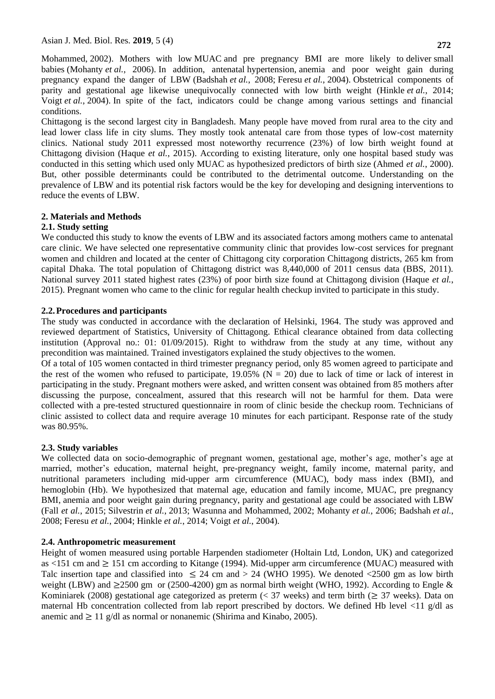Mohammed, 2002). Mothers with low MUAC and pre pregnancy BMI are more likely to deliver small babies (Mohanty *et al.*, 2006). In addition, antenatal hypertension, anemia and poor weight gain during pregnancy expand the danger of LBW (Badshah *et al.*, 2008; Feresu *et al.*, 2004). Obstetrical components of parity and gestational age likewise unequivocally connected with low birth weight (Hinkle *et al.*, 2014; Voigt *et al.*, 2004). In spite of the fact, indicators could be change among various settings and financial conditions.

Chittagong is the second largest city in Bangladesh. Many people have moved from rural area to the city and lead lower class life in city slums. They mostly took antenatal care from those types of low-cost maternity clinics. National study 2011 expressed most noteworthy recurrence (23%) of low birth weight found at Chittagong division (Haque *et al.*, 2015). According to existing literature, only one hospital based study was conducted in this setting which used only MUAC as hypothesized predictors of birth size (Ahmed *et al.*, 2000). But, other possible determinants could be contributed to the detrimental outcome. Understanding on the prevalence of LBW and its potential risk factors would be the key for developing and designing interventions to reduce the events of LBW.

# **2. Materials and Methods**

# **2.1. Study setting**

We conducted this study to know the events of LBW and its associated factors among mothers came to antenatal care clinic. We have selected one representative community clinic that provides low-cost services for pregnant women and children and located at the center of Chittagong city corporation Chittagong districts, 265 km from capital Dhaka. The total population of Chittagong district was 8,440,000 of 2011 census data (BBS, 2011). National survey 2011 stated highest rates (23%) of poor birth size found at Chittagong division (Haque *et al.*, 2015). Pregnant women who came to the clinic for regular health checkup invited to participate in this study.

### **2.2.Procedures and participants**

The study was conducted in accordance with the declaration of Helsinki, 1964. The study was approved and reviewed department of Statistics, University of Chittagong. Ethical clearance obtained from data collecting institution (Approval no.: 01: 01/09/2015). Right to withdraw from the study at any time, without any precondition was maintained. Trained investigators explained the study objectives to the women.

Of a total of 105 women contacted in third trimester pregnancy period, only 85 women agreed to participate and the rest of the women who refused to participate,  $19.05\%$  (N = 20) due to lack of time or lack of interest in participating in the study. Pregnant mothers were asked, and written consent was obtained from 85 mothers after discussing the purpose, concealment, assured that this research will not be harmful for them. Data were collected with a pre-tested structured questionnaire in room of clinic beside the checkup room. Technicians of clinic assisted to collect data and require average 10 minutes for each participant. Response rate of the study was 80.95%.

# **2.3. Study variables**

We collected data on socio-demographic of pregnant women, gestational age, mother's age, mother's age at married, mother's education, maternal height, pre-pregnancy weight, family income, maternal parity, and nutritional parameters including mid-upper arm circumference (MUAC), body mass index (BMI), and hemoglobin (Hb). We hypothesized that maternal age, education and family income, MUAC, pre pregnancy BMI, anemia and poor weight gain during pregnancy, parity and gestational age could be associated with LBW (Fall *et al.*, 2015; Silvestrin *et al.*, 2013; Wasunna and Mohammed, 2002; Mohanty *et al.*, 2006; Badshah *et al.*, 2008; Feresu *et al.*, 2004; Hinkle *et al.*, 2014; Voigt *et al.*, 2004).

# **2.4. Anthropometric measurement**

Height of women measured using portable Harpenden stadiometer (Holtain Ltd, London, UK) and categorized as  $\lt 151$  cm and  $\geq 151$  cm according to Kitange (1994). Mid-upper arm circumference (MUAC) measured with Talc insertion tape and classified into  $\leq 24$  cm and  $> 24$  (WHO 1995). We denoted <2500 gm as low birth weight (LBW) and  $\geq$ 2500 gm or (2500-4200) gm as normal birth weight (WHO, 1992). According to Engle & Kominiarek (2008) gestational age categorized as preterm (< 37 weeks) and term birth ( $\geq$  37 weeks). Data on maternal Hb concentration collected from lab report prescribed by doctors. We defined Hb level <11 g/dl as anemic and  $\geq 11$  g/dl as normal or nonanemic (Shirima and Kinabo, 2005).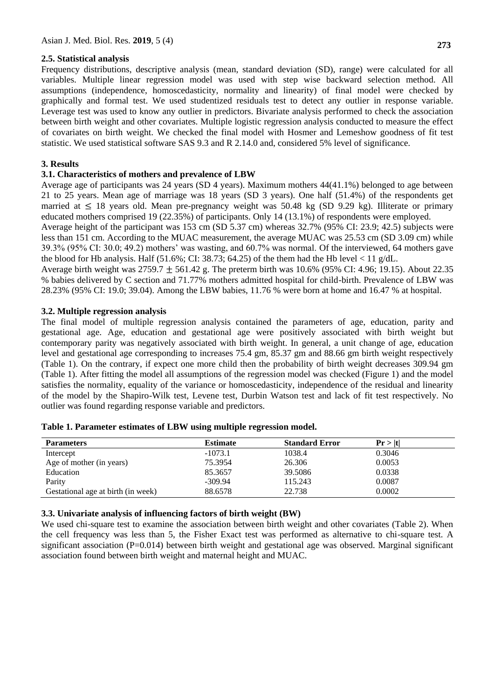### **2.5. Statistical analysis**

Frequency distributions, descriptive analysis (mean, standard deviation (SD), range) were calculated for all variables. Multiple linear regression model was used with step wise backward selection method. All assumptions (independence, homoscedasticity, normality and linearity) of final model were checked by graphically and formal test. We used studentized residuals test to detect any outlier in response variable. Leverage test was used to know any outlier in predictors. Bivariate analysis performed to check the association between birth weight and other covariates. Multiple logistic regression analysis conducted to measure the effect of covariates on birth weight. We checked the final model with Hosmer and Lemeshow goodness of fit test statistic. We used statistical software SAS 9.3 and R 2.14.0 and, considered 5% level of significance.

### **3. Results**

### **3.1. Characteristics of mothers and prevalence of LBW**

Average age of participants was 24 years (SD 4 years). Maximum mothers 44(41.1%) belonged to age between 21 to 25 years. Mean age of marriage was 18 years (SD 3 years). One half (51.4%) of the respondents get married at  $\leq 18$  years old. Mean pre-pregnancy weight was 50.48 kg (SD 9.29 kg). Illiterate or primary educated mothers comprised 19 (22.35%) of participants. Only 14 (13.1%) of respondents were employed.

Average height of the participant was 153 cm (SD 5.37 cm) whereas 32.7% (95% CI: 23.9; 42.5) subjects were less than 151 cm. According to the MUAC measurement, the average MUAC was 25.53 cm (SD 3.09 cm) while 39.3% (95% CI: 30.0; 49.2) mothers' was wasting, and 60.7% was normal. Of the interviewed, 64 mothers gave the blood for Hb analysis. Half  $(51.6\%; CI: 38.73; 64.25)$  of the them had the Hb level  $< 11$  g/dL.

Average birth weight was  $2759.7 \pm 561.42$  g. The preterm birth was 10.6% (95% CI: 4.96; 19.15). About 22.35 % babies delivered by C section and 71.77% mothers admitted hospital for child-birth. Prevalence of LBW was 28.23% (95% CI: 19.0; 39.04). Among the LBW babies, 11.76 % were born at home and 16.47 % at hospital.

### **3.2. Multiple regression analysis**

The final model of multiple regression analysis contained the parameters of age, education, parity and gestational age. Age, education and gestational age were positively associated with birth weight but contemporary parity was negatively associated with birth weight. In general, a unit change of age, education level and gestational age corresponding to increases 75.4 gm, 85.37 gm and 88.66 gm birth weight respectively (Table 1). On the contrary, if expect one more child then the probability of birth weight decreases 309.94 gm (Table 1). After fitting the model all assumptions of the regression model was checked (Figure 1) and the model satisfies the normality, equality of the variance or homoscedasticity, independence of the residual and linearity of the model by the Shapiro-Wilk test, Levene test, Durbin Watson test and lack of fit test respectively. No outlier was found regarding response variable and predictors.

| <b>Parameters</b>                  | <b>Estimate</b> | <b>Standard Error</b> | Pr >  t |
|------------------------------------|-----------------|-----------------------|---------|
| Intercept                          | $-1073.1$       | 1038.4                | 0.3046  |
| Age of mother (in years)           | 75.3954         | 26.306                | 0.0053  |
| Education                          | 85.3657         | 39.5086               | 0.0338  |
| Parity                             | $-309.94$       | 115.243               | 0.0087  |
| Gestational age at birth (in week) | 88.6578         | 22.738                | 0.0002  |

| Table 1. Parameter estimates of LBW using multiple regression model. |
|----------------------------------------------------------------------|
|----------------------------------------------------------------------|

### **3.3. Univariate analysis of influencing factors of birth weight (BW)**

We used chi-square test to examine the association between birth weight and other covariates (Table 2). When the cell frequency was less than 5, the Fisher Exact test was performed as alternative to chi-square test. A significant association ( $P=0.014$ ) between birth weight and gestational age was observed. Marginal significant association found between birth weight and maternal height and MUAC.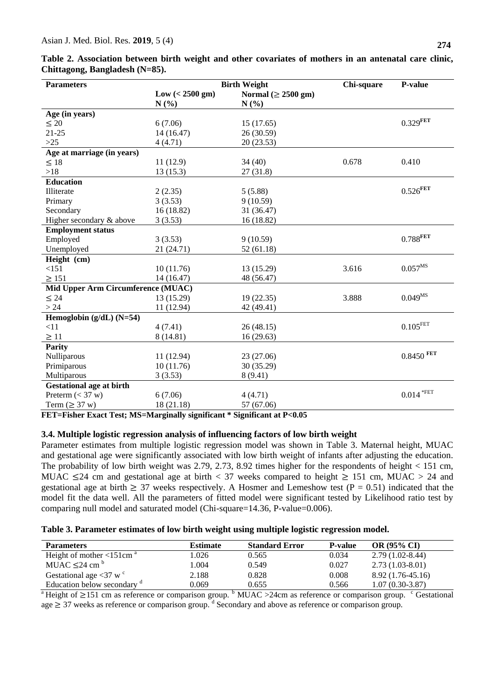| <b>Parameters</b>                  |                            | <b>Birth Weight</b>      | Chi-square | P-value                      |
|------------------------------------|----------------------------|--------------------------|------------|------------------------------|
|                                    | $Low \ (<2500 \text{ gm})$ | Normal ( $\geq$ 2500 gm) |            |                              |
|                                    | N(%)                       | N(%)                     |            |                              |
| Age (in years)                     |                            |                          |            |                              |
| $\leq 20$                          | 6(7.06)                    | 15(17.65)                |            | $0.329^{\rm FET}$            |
| $21 - 25$                          | 14 (16.47)                 | 26 (30.59)               |            |                              |
| $>25$                              | 4(4.71)                    | 20 (23.53)               |            |                              |
| Age at marriage (in years)         |                            |                          |            |                              |
| $\leq 18$                          | 11(12.9)                   | 34(40)                   | 0.678      | 0.410                        |
| >18                                | 13(15.3)                   | 27(31.8)                 |            |                              |
| <b>Education</b>                   |                            |                          |            |                              |
| Illiterate                         | 2(2.35)                    | 5(5.88)                  |            | $0.526^{\rm FET}$            |
| Primary                            | 3(3.53)                    | 9(10.59)                 |            |                              |
| Secondary                          | 16(18.82)                  | 31 (36.47)               |            |                              |
| Higher secondary & above           | 3(3.53)                    | 16 (18.82)               |            |                              |
| <b>Employment status</b>           |                            |                          |            |                              |
| Employed                           | 3(3.53)                    | 9(10.59)                 |            | $0.788^{\rm FET}$            |
| Unemployed                         | 21 (24.71)                 | 52(61.18)                |            |                              |
| Height (cm)                        |                            |                          |            |                              |
| <151                               | 10(11.76)                  | 13 (15.29)               | 3.616      | $0.057^{MS}$                 |
| $\geq 151$                         | 14 (16.47)                 | 48 (56.47)               |            |                              |
| Mid Upper Arm Circumference (MUAC) |                            |                          |            |                              |
| $\leq 24$                          | 13 (15.29)                 | 19(22.35)                | 3.888      | $0.049^{MS}$                 |
| >24                                | 11 (12.94)                 | 42 (49.41)               |            |                              |
| Hemoglobin $(g/dL)$ (N=54)         |                            |                          |            |                              |
| <11                                | 4(7.41)                    | 26(48.15)                |            | $0.105$ FET                  |
| $\geq 11$                          | 8 (14.81)                  | 16(29.63)                |            |                              |
| <b>Parity</b>                      |                            |                          |            |                              |
| Nulliparous                        | 11 (12.94)                 | 23 (27.06)               |            | $0.8450\;\mbox{FET}$         |
| Primiparous                        | 10(11.76)                  | 30 (35.29)               |            |                              |
| Multiparous                        | 3(3.53)                    | 8(9.41)                  |            |                              |
| <b>Gestational age at birth</b>    |                            |                          |            |                              |
| Preterm $(< 37 w)$                 | 6(7.06)                    | 4(4.71)                  |            | $0.014\,^{\ast\mathrm{FET}}$ |
| Term $(\geq 37 \text{ w})$         | 18 (21.18)                 | 57 (67.06)               |            |                              |

**Table 2. Association between birth weight and other covariates of mothers in an antenatal care clinic, Chittagong, Bangladesh (N=85).**

**FET=Fisher Exact Test; MS=Marginally significant \* Significant at P<0.05**

#### **3.4. Multiple logistic regression analysis of influencing factors of low birth weight**

Parameter estimates from multiple logistic regression model was shown in Table 3. Maternal height, MUAC and gestational age were significantly associated with low birth weight of infants after adjusting the education. The probability of low birth weight was 2.79, 2.73, 8.92 times higher for the respondents of height < 151 cm, MUAC  $\leq$  24 cm and gestational age at birth < 37 weeks compared to height  $\geq$  151 cm, MUAC > 24 and gestational age at birth  $\geq$  37 weeks respectively. A Hosmer and Lemeshow test (P = 0.51) indicated that the model fit the data well. All the parameters of fitted model were significant tested by Likelihood ratio test by comparing null model and saturated model (Chi-square=14.36, P-value=0.006).

| <b>Parameters</b>                                                                                                                                                                                                                                                                                | Estimate | <b>Standard Error</b> | <b>P-value</b> | <b>OR (95% CI)</b> |
|--------------------------------------------------------------------------------------------------------------------------------------------------------------------------------------------------------------------------------------------------------------------------------------------------|----------|-----------------------|----------------|--------------------|
| Height of mother $\leq 151$ cm <sup>a</sup>                                                                                                                                                                                                                                                      | 1.026    | 0.565                 | 0.034          | $2.79(1.02-8.44)$  |
| MUAC $\leq$ 24 cm <sup>b</sup>                                                                                                                                                                                                                                                                   | 1.004    | 0.549                 | 0.027          | $2.73(1.03-8.01)$  |
| Gestational age $\langle 37 \text{ w} \rangle^{\circ}$                                                                                                                                                                                                                                           | 2.188    | 0.828                 | 0.008          | $8.92(1.76-45.16)$ |
| Education below secondary <sup>d</sup>                                                                                                                                                                                                                                                           | 0.069    | 0.655                 | 0.566          | $1.07(0.30-3.87)$  |
| $\mathbf{a}$ and $\mathbf{a}$ and $\mathbf{a}$ and $\mathbf{a}$ and $\mathbf{a}$ and $\mathbf{a}$ and $\mathbf{a}$ and $\mathbf{a}$ and $\mathbf{a}$ and $\mathbf{a}$ and $\mathbf{a}$ and $\mathbf{a}$ and $\mathbf{a}$ and $\mathbf{a}$ and $\mathbf{a}$ and $\mathbf{a}$ and $\mathbf{a}$ and |          |                       |                | $\mathbb{R}$       |

Height of  $\geq$ 151 cm as reference or comparison group.  $b$  MUAC >24cm as reference or comparison group.  $c$  Gestational  $age \geq 37$  weeks as reference or comparison group. <sup>d</sup> Secondary and above as reference or comparison group.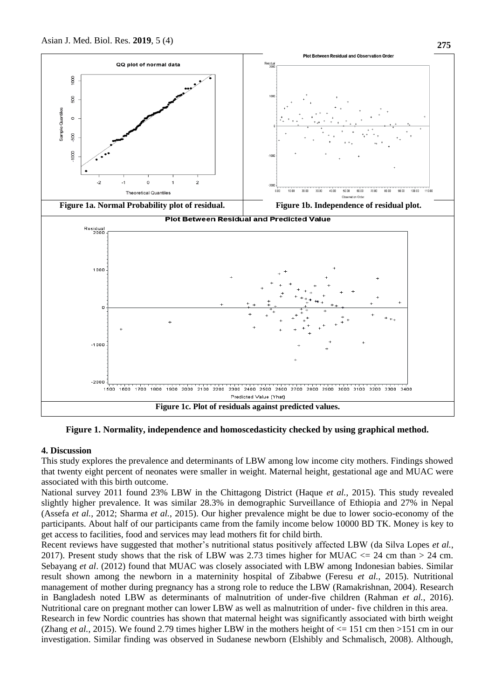

**Figure 1. Normality, independence and homoscedasticity checked by using graphical method.**

#### **4. Discussion**

This study explores the prevalence and determinants of LBW among low income city mothers. Findings showed that twenty eight percent of neonates were smaller in weight. Maternal height, gestational age and MUAC were associated with this birth outcome.

National survey 2011 found 23% LBW in the Chittagong District (Haque *et al.*, 2015). This study revealed slightly higher prevalence. It was similar 28.3% in demographic Surveillance of Ethiopia and 27% in Nepal (Assefa *et al.*, 2012; Sharma *et al.*, 2015). Our higher prevalence might be due to lower socio-economy of the participants. About half of our participants came from the family income below 10000 BD TK. Money is key to get access to facilities, food and services may lead mothers fit for child birth.

Recent reviews have suggested that mother's nutritional status positively affected LBW (da Silva Lopes *et al.*, 2017). Present study shows that the risk of LBW was 2.73 times higher for MUAC  $\lt$  24 cm than > 24 cm. Sebayang *et al*. (2012) found that MUAC was closely associated with LBW among Indonesian babies. Similar result shown among the newborn in a materninity hospital of Zibabwe (Feresu *et al.*, 2015). Nutritional management of mother during pregnancy has a strong role to reduce the LBW (Ramakrishnan, 2004). Research in Bangladesh noted LBW as determinants of malnutrition of under-five children (Rahman *et al.*, 2016). Nutritional care on pregnant mother can lower LBW as well as malnutrition of under- five children in this area. Research in few Nordic countries has shown that maternal height was significantly associated with birth weight (Zhang *et al.*, 2015). We found 2.79 times higher LBW in the mothers height of  $\leq$  151 cm then >151 cm in our

investigation. Similar finding was observed in Sudanese newborn (Elshibly and Schmalisch, 2008). Although,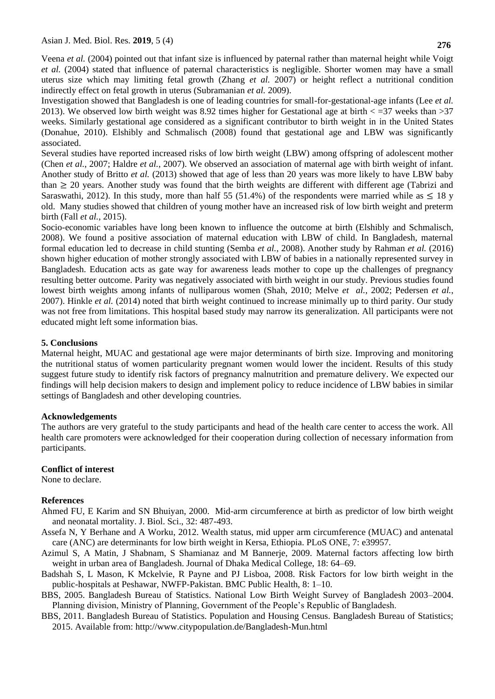Veena *et al.* (2004) pointed out that infant size is influenced by paternal rather than maternal height while Voigt *et al.* (2004) stated that influence of paternal characteristics is negligible. Shorter women may have a small uterus size which may limiting fetal growth (Zhang *et al.* 2007) or height reflect a nutritional condition indirectly effect on fetal growth in uterus (Subramanian *et al.* 2009).

Investigation showed that Bangladesh is one of leading countries for small-for-gestational-age infants (Lee *et al.* 2013). We observed low birth weight was 8.92 times higher for Gestational age at birth  $\lt$  =37 weeks than >37 weeks. Similarly gestational age considered as a significant contributor to birth weight in in the United States (Donahue, 2010). Elshibly and Schmalisch (2008) found that gestational age and LBW was significantly associated.

Several studies have reported increased risks of low birth weight (LBW) among offspring of adolescent mother (Chen *et al.*, 2007; Haldre *et al.*, 2007). We observed an association of maternal age with birth weight of infant. Another study of Britto *et al.* (2013) showed that age of less than 20 years was more likely to have LBW baby than  $\geq$  20 years. Another study was found that the birth weights are different with different age (Tabrizi and Saraswathi, 2012). In this study, more than half 55 (51.4%) of the respondents were married while as  $\leq 18$  y old. Many studies showed that children of young mother have an increased risk of low birth weight and preterm birth (Fall *et al.*, 2015).

Socio-economic variables have long been known to influence the outcome at birth (Elshibly and Schmalisch, 2008). We found a positive association of maternal education with LBW of child. In Bangladesh, maternal formal education led to decrease in child stunting (Semba *et al.*, 2008). Another study by Rahman *et al.* (2016) shown higher education of mother strongly associated with LBW of babies in a nationally represented survey in Bangladesh. Education acts as gate way for awareness leads mother to cope up the challenges of pregnancy resulting better outcome. Parity was negatively associated with birth weight in our study. Previous studies found lowest birth weights among infants of nulliparous women (Shah, 2010; Melve *et al.*, 2002; Pedersen *et al.*, 2007). Hinkle *et al.* (2014) noted that birth weight continued to increase minimally up to third parity. Our study was not free from limitations. This hospital based study may narrow its generalization. All participants were not educated might left some information bias.

#### **5. Conclusions**

Maternal height, MUAC and gestational age were major determinants of birth size. Improving and monitoring the nutritional status of women particularity pregnant women would lower the incident. Results of this study suggest future study to identify risk factors of pregnancy malnutrition and premature delivery. We expected our findings will help decision makers to design and implement policy to reduce incidence of LBW babies in similar settings of Bangladesh and other developing countries.

#### **Acknowledgements**

The authors are very grateful to the study participants and head of the health care center to access the work. All health care promoters were acknowledged for their cooperation during collection of necessary information from participants.

#### **Conflict of interest**

None to declare.

#### **References**

- Ahmed FU, E Karim and SN Bhuiyan, 2000. Mid-arm circumference at birth as predictor of low birth weight and neonatal mortality. J. Biol. Sci., 32: 487-493.
- Assefa N, Y Berhane and A Worku, 2012. Wealth status, mid upper arm circumference (MUAC) and antenatal care (ANC) are determinants for low birth weight in Kersa, Ethiopia. PLoS ONE, 7: e39957.
- Azimul S, A Matin, J Shabnam, S Shamianaz and M Bannerje, 2009. Maternal factors affecting low birth weight in urban area of Bangladesh. Journal of Dhaka Medical College, 18: 64–69.
- Badshah S, L Mason, K Mckelvie, R Payne and PJ Lisboa, 2008. Risk Factors for low birth weight in the public-hospitals at Peshawar, NWFP-Pakistan. BMC Public Health, 8: 1–10.
- BBS, 2005. Bangladesh Bureau of Statistics. National Low Birth Weight Survey of Bangladesh 2003–2004. Planning division, Ministry of Planning, Government of the People's Republic of Bangladesh.
- BBS, 2011. Bangladesh Bureau of Statistics. Population and Housing Census. Bangladesh Bureau of Statistics; 2015. Available from:<http://www.citypopulation.de/Bangladesh-Mun.html>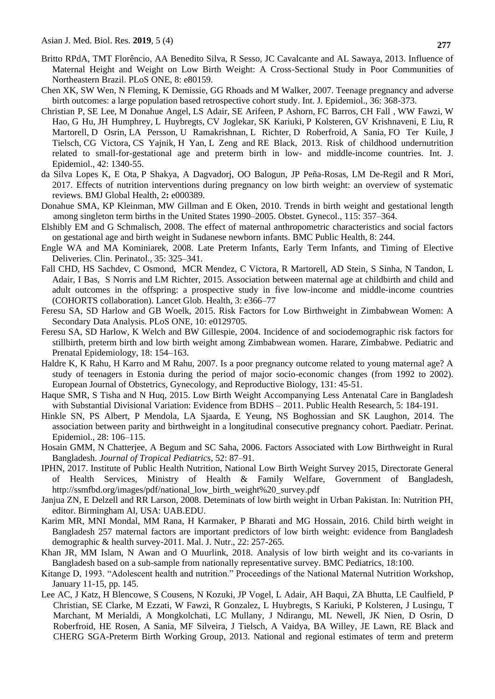- Britto RPdA, TMT Florêncio, AA Benedito Silva, R Sesso, JC Cavalcante and AL Sawaya, 2013. Influence of Maternal Height and Weight on Low Birth Weight: A Cross-Sectional Study in Poor Communities of Northeastern Brazil. PLoS ONE, 8: e80159.
- Chen XK, SW Wen, N Fleming, K Demissie, GG Rhoads and M Walker, 2007. Teenage pregnancy and adverse birth outcomes: a large population based retrospective cohort study. Int. J. Epidemiol., 36: 368-373.
- Christian P, SE Lee, M Donahue Angel, LS Adair, SE [Arifeen,](https://www.ncbi.nlm.nih.gov/pubmed/?term=Arifeen%20SE%5BAuthor%5D&cauthor=true&cauthor_uid=23920141) P [Ashorn,](https://www.ncbi.nlm.nih.gov/pubmed/?term=Ashorn%20P%5BAuthor%5D&cauthor=true&cauthor_uid=23920141) FC [Barros,](https://www.ncbi.nlm.nih.gov/pubmed/?term=Barros%20FC%5BAuthor%5D&cauthor=true&cauthor_uid=23920141) CH [Fall ,](https://www.ncbi.nlm.nih.gov/pubmed/?term=Fall%20CH%5BAuthor%5D&cauthor=true&cauthor_uid=23920141) WW [Fawzi,](https://www.ncbi.nlm.nih.gov/pubmed/?term=Fawzi%20WW%5BAuthor%5D&cauthor=true&cauthor_uid=23920141) W [Hao,](https://www.ncbi.nlm.nih.gov/pubmed/?term=Hao%20W%5BAuthor%5D&cauthor=true&cauthor_uid=23920141) G [Hu,](https://www.ncbi.nlm.nih.gov/pubmed/?term=Hu%20G%5BAuthor%5D&cauthor=true&cauthor_uid=23920141) JH [Humphrey,](https://www.ncbi.nlm.nih.gov/pubmed/?term=Humphrey%20JH%5BAuthor%5D&cauthor=true&cauthor_uid=23920141) L [Huybregts,](https://www.ncbi.nlm.nih.gov/pubmed/?term=Huybregts%20L%5BAuthor%5D&cauthor=true&cauthor_uid=23920141) CV [Joglekar,](https://www.ncbi.nlm.nih.gov/pubmed/?term=Joglekar%20CV%5BAuthor%5D&cauthor=true&cauthor_uid=23920141) SK [Kariuki,](https://www.ncbi.nlm.nih.gov/pubmed/?term=Kariuki%20SK%5BAuthor%5D&cauthor=true&cauthor_uid=23920141) P [Kolsteren,](https://www.ncbi.nlm.nih.gov/pubmed/?term=Kolsteren%20P%5BAuthor%5D&cauthor=true&cauthor_uid=23920141) GV [Krishnaveni,](https://www.ncbi.nlm.nih.gov/pubmed/?term=Krishnaveni%20GV%5BAuthor%5D&cauthor=true&cauthor_uid=23920141) E [Liu,](https://www.ncbi.nlm.nih.gov/pubmed/?term=Liu%20E%5BAuthor%5D&cauthor=true&cauthor_uid=23920141) R [Martorell,](https://www.ncbi.nlm.nih.gov/pubmed/?term=Martorell%20R%5BAuthor%5D&cauthor=true&cauthor_uid=23920141) D [Osrin,](https://www.ncbi.nlm.nih.gov/pubmed/?term=Osrin%20D%5BAuthor%5D&cauthor=true&cauthor_uid=23920141) LA [Persson,](https://www.ncbi.nlm.nih.gov/pubmed/?term=Persson%20LA%5BAuthor%5D&cauthor=true&cauthor_uid=23920141) U [Ramakrishnan,](https://www.ncbi.nlm.nih.gov/pubmed/?term=Ramakrishnan%20U%5BAuthor%5D&cauthor=true&cauthor_uid=23920141) L [Richter,](https://www.ncbi.nlm.nih.gov/pubmed/?term=Richter%20L%5BAuthor%5D&cauthor=true&cauthor_uid=23920141) D [Roberfroid,](https://www.ncbi.nlm.nih.gov/pubmed/?term=Roberfroid%20D%5BAuthor%5D&cauthor=true&cauthor_uid=23920141) A [Sania,](https://www.ncbi.nlm.nih.gov/pubmed/?term=Sania%20A%5BAuthor%5D&cauthor=true&cauthor_uid=23920141) FO [Ter Kuile,](https://www.ncbi.nlm.nih.gov/pubmed/?term=Ter%20Kuile%20FO%5BAuthor%5D&cauthor=true&cauthor_uid=23920141) J [Tielsch,](https://www.ncbi.nlm.nih.gov/pubmed/?term=Tielsch%20J%5BAuthor%5D&cauthor=true&cauthor_uid=23920141) CG [Victora,](https://www.ncbi.nlm.nih.gov/pubmed/?term=Victora%20CG%5BAuthor%5D&cauthor=true&cauthor_uid=23920141) CS [Yajnik,](https://www.ncbi.nlm.nih.gov/pubmed/?term=Yajnik%20CS%5BAuthor%5D&cauthor=true&cauthor_uid=23920141) H [Yan,](https://www.ncbi.nlm.nih.gov/pubmed/?term=Yan%20H%5BAuthor%5D&cauthor=true&cauthor_uid=23920141) L [Zeng a](https://www.ncbi.nlm.nih.gov/pubmed/?term=Zeng%20L%5BAuthor%5D&cauthor=true&cauthor_uid=23920141)nd RE [Black,](https://www.ncbi.nlm.nih.gov/pubmed/?term=Black%20RE%5BAuthor%5D&cauthor=true&cauthor_uid=23920141) 2013. Risk of childhood undernutrition related to small-for-gestational age and preterm birth in low- and middle-income countries. [Int. J.](https://www.ncbi.nlm.nih.gov/pubmed/23920141)  [Epidemiol.,](https://www.ncbi.nlm.nih.gov/pubmed/23920141) 42: 1340-55.
- da Silva Lopes K, E Ota, P Shakya, A Dagvadorj, OO Balogun, JP Peña-Rosas, LM De-Regil and R Mori, 2017. Effects of nutrition interventions during pregnancy on low birth weight: an overview of systematic reviews. BMJ Global Health, 2**:** e000389.
- [Donahue](https://www.ncbi.nlm.nih.gov/pubmed/?term=Donahue%20SM%5BAuthor%5D&cauthor=true&cauthor_uid=20093911) SMA, KP [Kleinman,](https://www.ncbi.nlm.nih.gov/pubmed/?term=Kleinman%20KP%5BAuthor%5D&cauthor=true&cauthor_uid=20093911) MW [Gillman](https://www.ncbi.nlm.nih.gov/pubmed/?term=Gillman%20MW%5BAuthor%5D&cauthor=true&cauthor_uid=20093911) and E [Oken,](https://www.ncbi.nlm.nih.gov/pubmed/?term=Oken%20E%5BAuthor%5D&cauthor=true&cauthor_uid=20093911) 2010. Trends in birth weight and gestational length among singleton term births in the United States 1990–2005. [Obstet. Gynecol., 115: 357–364.](https://www.ncbi.nlm.nih.gov/entrez/eutils/elink.fcgi?dbfrom=pubmed&retmode=ref&cmd=prlinks&id=20093911)
- Elshibly EM and G Schmalisch, 2008. The effect of maternal anthropometric characteristics and social factors on gestational age and birth weight in Sudanese newborn infants. BMC Public Health, 8: 244.
- Engle WA and MA Kominiarek, 2008. Late Preterm Infants, Early Term Infants, and Timing of Elective Deliveries. Clin. Perinatol., 35: 325–341.
- Fall CHD, HS Sachdev, C Osmond, MCR Mendez, C Victora, R Martorell, AD Stein, S Sinha, N Tandon, L Adair, I Bas, S Norris and LM Richter, 2015. Association between maternal age at childbirth and child and adult outcomes in the offspring: a prospective study in five low-income and middle-income countries (COHORTS collaboration). Lancet Glob. Health, 3: e366–77
- Feresu SA, SD Harlow and GB Woelk, 2015. Risk Factors for Low Birthweight in Zimbabwean Women: A Secondary Data Analysis. PLoS ONE, 10: e0129705.
- Feresu SA, SD Harlow, K Welch and BW Gillespie, 2004. Incidence of and sociodemographic risk factors for stillbirth, preterm birth and low birth weight among Zimbabwean women. Harare, Zimbabwe. Pediatric and Prenatal Epidemiology, 18: 154–163.
- Haldre K, K Rahu, H Karro and M Rahu, 2007. Is a poor pregnancy outcome related to young maternal age? A study of teenagers in Estonia during the period of major socio-economic changes (from 1992 to 2002). European Journal of Obstetrics, Gynecology, and Reproductive Biology, 131: 45-51.
- Haque SMR, S Tisha and N Huq, 2015. Low Birth Weight Accompanying Less Antenatal Care in Bangladesh with Substantial Divisional Variation: Evidence from BDHS – 2011. Public Health Research, 5: 184-191.
- Hinkle SN, PS Albert, P Mendola, LA Sjaarda, E Yeung, NS Boghossian and SK Laughon, 2014. The association between parity and birthweight in a longitudinal consecutive pregnancy cohort. Paediatr. Perinat. Epidemiol., 28: 106–115.
- Hosain GMM, N Chatterjee, A Begum and SC Saha, 2006. Factors Associated with Low Birthweight in Rural Bangladesh. *Journal of Tropical Pediatrics*, 52: 87–91.
- IPHN, 2017. Institute of Public Health Nutrition, National Low Birth Weight Survey 2015, Directorate General of Health Services, Ministry of Health & Family Welfare, Government of Bangladesh, [http://ssmfbd.org/images/pdf/national\\_low\\_birth\\_weight%20\\_survey.pdf](http://ssmfbd.org/images/pdf/national_low_birth_weight%20_survey.pdf)
- Janjua ZN, E Delzell and RR Larson, 2008. Deteminats of low birth weight in Urban Pakistan. In: Nutrition PH, editor. Birmingham Al, USA: UAB.EDU.
- Karim MR, MNI Mondal, MM Rana, H Karmaker, P Bharati and MG Hossain, 2016. Child birth weight in Bangladesh 257 maternal factors are important predictors of low birth weight: evidence from Bangladesh demographic & health survey-2011. Mal. J. Nutr., 22: 257-265.
- Khan JR, MM Islam, N Awan and O Muurlink, 2018. Analysis of low birth weight and its co-variants in Bangladesh based on a sub-sample from nationally representative survey. BMC Pediatrics, 18:100.
- Kitange D, 1993. "Adolescent health and nutrition." Proceedings of the National Maternal Nutrition Workshop, January 11-15, pp. 145.
- [Lee AC,](https://www.ncbi.nlm.nih.gov/pubmed/?term=Lee%20AC%5BAuthor%5D&cauthor=true&cauthor_uid=25103583) J [Katz,](https://www.ncbi.nlm.nih.gov/pubmed/?term=Katz%20J%5BAuthor%5D&cauthor=true&cauthor_uid=25103583) H [Blencowe,](https://www.ncbi.nlm.nih.gov/pubmed/?term=Blencowe%20H%5BAuthor%5D&cauthor=true&cauthor_uid=25103583) S [Cousens,](https://www.ncbi.nlm.nih.gov/pubmed/?term=Cousens%20S%5BAuthor%5D&cauthor=true&cauthor_uid=25103583) N [Kozuki,](https://www.ncbi.nlm.nih.gov/pubmed/?term=Kozuki%20N%5BAuthor%5D&cauthor=true&cauthor_uid=25103583) JP [Vogel,](https://www.ncbi.nlm.nih.gov/pubmed/?term=Vogel%20JP%5BAuthor%5D&cauthor=true&cauthor_uid=25103583) L [Adair,](https://www.ncbi.nlm.nih.gov/pubmed/?term=Adair%20L%5BAuthor%5D&cauthor=true&cauthor_uid=25103583) AH [Baqui,](https://www.ncbi.nlm.nih.gov/pubmed/?term=Baqui%20AH%5BAuthor%5D&cauthor=true&cauthor_uid=25103583) ZA [Bhutta,](https://www.ncbi.nlm.nih.gov/pubmed/?term=Bhutta%20ZA%5BAuthor%5D&cauthor=true&cauthor_uid=25103583) LE [Caulfield,](https://www.ncbi.nlm.nih.gov/pubmed/?term=Caulfield%20LE%5BAuthor%5D&cauthor=true&cauthor_uid=25103583) P [Christian,](https://www.ncbi.nlm.nih.gov/pubmed/?term=Christian%20P%5BAuthor%5D&cauthor=true&cauthor_uid=25103583) SE [Clarke,](https://www.ncbi.nlm.nih.gov/pubmed/?term=Clarke%20SE%5BAuthor%5D&cauthor=true&cauthor_uid=25103583) M [Ezzati,](https://www.ncbi.nlm.nih.gov/pubmed/?term=Ezzati%20M%5BAuthor%5D&cauthor=true&cauthor_uid=25103583) W [Fawzi,](https://www.ncbi.nlm.nih.gov/pubmed/?term=Fawzi%20W%5BAuthor%5D&cauthor=true&cauthor_uid=25103583) R [Gonzalez,](https://www.ncbi.nlm.nih.gov/pubmed/?term=Gonzalez%20R%5BAuthor%5D&cauthor=true&cauthor_uid=25103583) L [Huybregts,](https://www.ncbi.nlm.nih.gov/pubmed/?term=Huybregts%20L%5BAuthor%5D&cauthor=true&cauthor_uid=25103583) S [Kariuki,](https://www.ncbi.nlm.nih.gov/pubmed/?term=Kariuki%20S%5BAuthor%5D&cauthor=true&cauthor_uid=25103583) P [Kolsteren,](https://www.ncbi.nlm.nih.gov/pubmed/?term=Kolsteren%20P%5BAuthor%5D&cauthor=true&cauthor_uid=25103583) J [Lusingu,](https://www.ncbi.nlm.nih.gov/pubmed/?term=Lusingu%20J%5BAuthor%5D&cauthor=true&cauthor_uid=25103583) T [Marchant,](https://www.ncbi.nlm.nih.gov/pubmed/?term=Marchant%20T%5BAuthor%5D&cauthor=true&cauthor_uid=25103583) M [Merialdi,](https://www.ncbi.nlm.nih.gov/pubmed/?term=Merialdi%20M%5BAuthor%5D&cauthor=true&cauthor_uid=25103583) A [Mongkolchati,](https://www.ncbi.nlm.nih.gov/pubmed/?term=Mongkolchati%20A%5BAuthor%5D&cauthor=true&cauthor_uid=25103583) LC [Mullany,](https://www.ncbi.nlm.nih.gov/pubmed/?term=Mullany%20LC%5BAuthor%5D&cauthor=true&cauthor_uid=25103583) J [Ndirangu,](https://www.ncbi.nlm.nih.gov/pubmed/?term=Ndirangu%20J%5BAuthor%5D&cauthor=true&cauthor_uid=25103583) ML [Newell,](https://www.ncbi.nlm.nih.gov/pubmed/?term=Newell%20ML%5BAuthor%5D&cauthor=true&cauthor_uid=25103583) JK [Nien,](https://www.ncbi.nlm.nih.gov/pubmed/?term=Nien%20JK%5BAuthor%5D&cauthor=true&cauthor_uid=25103583) D [Osrin,](https://www.ncbi.nlm.nih.gov/pubmed/?term=Osrin%20D%5BAuthor%5D&cauthor=true&cauthor_uid=25103583) D [Roberfroid,](https://www.ncbi.nlm.nih.gov/pubmed/?term=Roberfroid%20D%5BAuthor%5D&cauthor=true&cauthor_uid=25103583) HE [Rosen,](https://www.ncbi.nlm.nih.gov/pubmed/?term=Rosen%20HE%5BAuthor%5D&cauthor=true&cauthor_uid=25103583) A [Sania,](https://www.ncbi.nlm.nih.gov/pubmed/?term=Sania%20A%5BAuthor%5D&cauthor=true&cauthor_uid=25103583) MF [Silveira,](https://www.ncbi.nlm.nih.gov/pubmed/?term=Silveira%20MF%5BAuthor%5D&cauthor=true&cauthor_uid=25103583) J [Tielsch,](https://www.ncbi.nlm.nih.gov/pubmed/?term=Tielsch%20J%5BAuthor%5D&cauthor=true&cauthor_uid=25103583) A [Vaidya,](https://www.ncbi.nlm.nih.gov/pubmed/?term=Vaidya%20A%5BAuthor%5D&cauthor=true&cauthor_uid=25103583) BA [Willey,](https://www.ncbi.nlm.nih.gov/pubmed/?term=Willey%20BA%5BAuthor%5D&cauthor=true&cauthor_uid=25103583) JE [Lawn,](https://www.ncbi.nlm.nih.gov/pubmed/?term=Lawn%20JE%5BAuthor%5D&cauthor=true&cauthor_uid=25103583) RE [Black a](https://www.ncbi.nlm.nih.gov/pubmed/?term=Black%20RE%5BAuthor%5D&cauthor=true&cauthor_uid=25103583)nd [CHERG SGA-Preterm Birth Working Group,](https://www.ncbi.nlm.nih.gov/pubmed/?term=CHERG%20SGA-Preterm%20Birth%20Working%20Group%5BCorporate%20Author%5D) 2013. National and regional estimates of term and preterm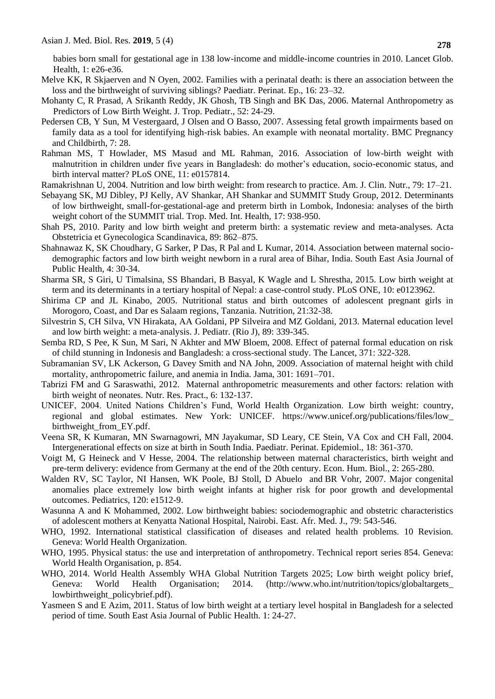babies born small for gestational age in 138 low-income and middle-income countries in 2010. Lancet Glob. Health, 1: e26-e36.

- Melve KK, R Skjaerven and N Oyen, 2002. Families with a perinatal death: is there an association between the loss and the birthweight of surviving siblings? Paediatr. Perinat. Ep., 16: 23–32.
- [Mohanty C,](https://www.ncbi.nlm.nih.gov/pubmed/?term=Mohanty%20C%5BAuthor%5D&cauthor=true&cauthor_uid=15980024) R [Prasad,](https://www.ncbi.nlm.nih.gov/pubmed/?term=Prasad%20R%5BAuthor%5D&cauthor=true&cauthor_uid=15980024) A [Srikanth Reddy,](https://www.ncbi.nlm.nih.gov/pubmed/?term=Srikanth%20Reddy%20A%5BAuthor%5D&cauthor=true&cauthor_uid=15980024) JK [Ghosh,](https://www.ncbi.nlm.nih.gov/pubmed/?term=Ghosh%20JK%5BAuthor%5D&cauthor=true&cauthor_uid=15980024) TB [Singh](https://www.ncbi.nlm.nih.gov/pubmed/?term=Singh%20TB%5BAuthor%5D&cauthor=true&cauthor_uid=15980024) and BK [Das,](https://www.ncbi.nlm.nih.gov/pubmed/?term=Das%20BK%5BAuthor%5D&cauthor=true&cauthor_uid=15980024) 2006. Maternal Anthropometry as Predictors of Low Birth Weight. [J. Trop. Pediatr.,](https://www.ncbi.nlm.nih.gov/pubmed/15980024) 52: 24-29.
- Pedersen CB, Y Sun, M Vestergaard, J Olsen and O Basso, 2007. Assessing fetal growth impairments based on family data as a tool for identifying high-risk babies. An example with neonatal mortality. BMC Pregnancy and Childbirth, 7: 28.
- Rahman MS, T Howlader, MS Masud and ML Rahman, 2016. Association of low-birth weight with malnutrition in children under five years in Bangladesh: do mother's education, socio-economic status, and birth interval matter? PLoS ONE, 11: e0157814.
- Ramakrishnan U, 2004. Nutrition and low birth weight: from research to practice. Am. J. Clin. Nutr., 79: 17–21.
- Sebayang SK, MJ Dibley, PJ Kelly, AV Shankar, AH Shankar and SUMMIT Study Group, 2012. Determinants of low birthweight, small-for-gestational-age and preterm birth in Lombok, Indonesia: analyses of the birth weight cohort of the SUMMIT trial. Trop. Med. Int. Health, 17: 938-950.
- Shah PS, 2010. Parity and low birth weight and preterm birth: a systematic review and meta-analyses. Acta Obstetricia et Gynecologica Scandinavica, 89: 862–875.
- Shahnawaz K, SK Choudhary, G Sarker, P Das, R Pal and L Kumar, 2014. Association between maternal sociodemographic factors and low birth weight newborn in a rural area of Bihar, India. South East Asia Journal of Public Health, 4: 30-34.
- Sharma SR, S Giri, U Timalsina, SS Bhandari, B Basyal, K Wagle and L Shrestha, 2015. Low birth weight at term and its determinants in a tertiary hospital of Nepal: a case-control study. PLoS ONE, 10: e0123962.
- Shirima CP and JL Kinabo, 2005. Nutritional status and birth outcomes of adolescent pregnant girls in Morogoro, Coast, and Dar es Salaam regions, Tanzania. Nutrition, 21:32-38.
- Silvestrin S, CH Silva, VN Hirakata, AA Goldani, PP Silveira and MZ Goldani, 2013. Maternal education level and low birth weight: a meta-analysis. J. Pediatr. (Rio J), 89: 339-345.
- Semba RD, S Pee, K Sun, M Sari, N Akhter and MW Bloem, 2008. Effect of paternal formal education on risk of child stunning in Indonesis and Bangladesh: a cross-sectional study. The Lancet, 371: 322-328.
- Subramanian SV, LK Ackerson, G Davey Smith and NA John, 2009. Association of maternal height with child mortality, anthropometric failure, and anemia in India. Jama, 301: 1691–701.
- Tabrizi FM and G Saraswathi, 2012. Maternal anthropometric measurements and other factors: relation with birth weight of neonates. Nutr. Res. Pract., 6: 132-137.
- UNICEF, 2004. United Nations Children's Fund, World Health Organization. Low birth weight: country, regional and global estimates. New York: UNICEF. [https://www.unicef.org/publications/files/low\\_](https://www.unicef.org/publications/files/low_birthweight_from_EY.pdf) [birthweight\\_from\\_EY.pdf.](https://www.unicef.org/publications/files/low_birthweight_from_EY.pdf)
- Veena SR, K Kumaran, MN Swarnagowri, MN Jayakumar, SD Leary, CE Stein, VA Cox and CH Fall, 2004. Intergenerational effects on size at birth in South India. Paediatr. Perinat. Epidemiol., 18: 361-370.
- Voigt M, G Heineck and V Hesse, 2004. The relationship between maternal characteristics, birth weight and pre-term delivery: evidence from Germany at the end of the 20th century. Econ. Hum. Biol., 2: 265-280.
- Walden RV, SC Taylor, NI Hansen, WK Poole, BJ Stoll, D [Abuelo](https://www.ncbi.nlm.nih.gov/pubmed/?term=Abuelo%20D%5BAuthor%5D&cauthor=true&cauthor_uid=17984212) and BR [Vohr,](https://www.ncbi.nlm.nih.gov/pubmed/?term=Vohr%20BR%5BAuthor%5D&cauthor=true&cauthor_uid=17984212) 2007. Major congenital anomalies place extremely low birth weight infants at higher risk for poor growth and developmental outcomes. Pediatrics, 120: e1512-9.
- Wasunna A and K Mohammed, 2002. Low birthweight babies: sociodemographic and obstetric characteristics of adolescent mothers at Kenyatta National Hospital, Nairobi. East. Afr. Med. J., 79: 543-546.
- WHO, 1992. International statistical classification of diseases and related health problems. 10 Revision. Geneva: World Health Organization.
- WHO, 1995. Physical status: the use and interpretation of anthropometry. Technical report series 854. Geneva: World Health Organisation, p. 854.
- WHO, 2014. World Health Assembly WHA Global Nutrition Targets 2025; Low birth weight policy brief, Geneva: World Health Organisation; 2014. (http://www.who.int/nutrition/topics/globaltargets [lowbirthweight\\_policybrief.pdf\)](http://www.who.int/nutrition/topics/globaltargets_lowbirthweight_policybrief.pdf).
- Yasmeen S and E Azim, 2011. Status of low birth weight at a tertiary level hospital in Bangladesh for a selected period of time. South East Asia Journal of Public Health. 1: 24-27.